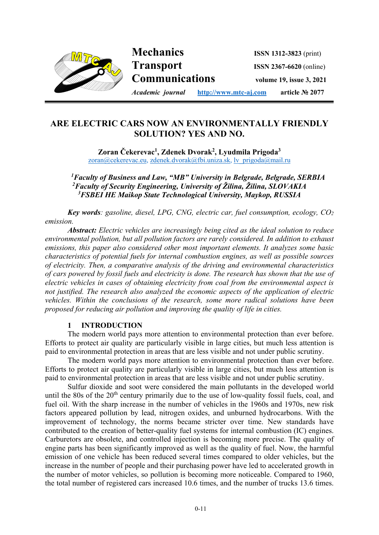

# **ARE ELECTRIC CARS NOW AN ENVIRONMENTALLY FRIENDLY SOLUTION? YES AND NO.**

**Zoran Čekerevac1 , Zdenek Dvorak2, Lyudmila Prigoda3** zoran@cekerevac.eu, zdenek.dvorak@fbi.uniza.sk, lv\_prigoda@mail.ru

 *1Faculty of Business and Law, "MB" University in Belgrade, Belgrade, SERBIA 2 Faculty of Security Engineering, University of Žilina, Žilina, SLOVAKIA 3 FSBEI HE Maikop State Technological University, Maykop, RUSSIA* 

*Key words: gasoline, diesel, LPG, CNG, electric car, fuel consumption, ecology, CO2 emission.* 

*Abstract: Electric vehicles are increasingly being cited as the ideal solution to reduce environmental pollution, but all pollution factors are rarely considered. In addition to exhaust emissions, this paper also considered other most important elements. It analyzes some basic characteristics of potential fuels for internal combustion engines, as well as possible sources of electricity. Then, a comparative analysis of the driving and environmental characteristics of cars powered by fossil fuels and electricity is done. The research has shown that the use of electric vehicles in cases of obtaining electricity from coal from the environmental aspect is not justified. The research also analyzed the economic aspects of the application of electric vehicles. Within the conclusions of the research, some more radical solutions have been proposed for reducing air pollution and improving the quality of life in cities.* 

## **1 INTRODUCTION**

The modern world pays more attention to environmental protection than ever before. Efforts to protect air quality are particularly visible in large cities, but much less attention is paid to environmental protection in areas that are less visible and not under public scrutiny.

The modern world pays more attention to environmental protection than ever before. Efforts to protect air quality are particularly visible in large cities, but much less attention is paid to environmental protection in areas that are less visible and not under public scrutiny.

Sulfur dioxide and soot were considered the main pollutants in the developed world until the 80s of the  $20<sup>th</sup>$  century primarily due to the use of low-quality fossil fuels, coal, and fuel oil. With the sharp increase in the number of vehicles in the 1960s and 1970s, new risk factors appeared pollution by lead, nitrogen oxides, and unburned hydrocarbons. With the improvement of technology, the norms became stricter over time. New standards have contributed to the creation of better-quality fuel systems for internal combustion (IC) engines. Carburetors are obsolete, and controlled injection is becoming more precise. The quality of engine parts has been significantly improved as well as the quality of fuel. Now, the harmful emission of one vehicle has been reduced several times compared to older vehicles, but the increase in the number of people and their purchasing power have led to accelerated growth in the number of motor vehicles, so pollution is becoming more noticeable. Compared to 1960, the total number of registered cars increased 10.6 times, and the number of trucks 13.6 times.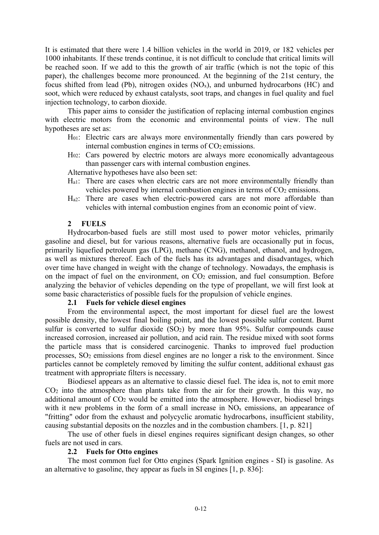It is estimated that there were 1.4 billion vehicles in the world in 2019, or 182 vehicles per 1000 inhabitants. If these trends continue, it is not difficult to conclude that critical limits will be reached soon. If we add to this the growth of air traffic (which is not the topic of this paper), the challenges become more pronounced. At the beginning of the 21st century, the focus shifted from lead (Pb), nitrogen oxides  $(NO<sub>x</sub>)$ , and unburned hydrocarbons  $(HC)$  and soot, which were reduced by exhaust catalysts, soot traps, and changes in fuel quality and fuel injection technology, to carbon dioxide.

This paper aims to consider the justification of replacing internal combustion engines with electric motors from the economic and environmental points of view. The null hypotheses are set as:

- H01: Electric cars are always more environmentally friendly than cars powered by internal combustion engines in terms of CO<sub>2</sub> emissions.
- H02: Cars powered by electric motors are always more economically advantageous than passenger cars with internal combustion engines.

Alternative hypotheses have also been set:

- Ha1: There are cases when electric cars are not more environmentally friendly than vehicles powered by internal combustion engines in terms of CO<sub>2</sub> emissions.
- H<sub>a2</sub>: There are cases when electric-powered cars are not more affordable than vehicles with internal combustion engines from an economic point of view.

#### **2 FUELS**

Hydrocarbon-based fuels are still most used to power motor vehicles, primarily gasoline and diesel, but for various reasons, alternative fuels are occasionally put in focus, primarily liquefied petroleum gas (LPG), methane (CNG), methanol, ethanol, and hydrogen, as well as mixtures thereof. Each of the fuels has its advantages and disadvantages, which over time have changed in weight with the change of technology. Nowadays, the emphasis is on the impact of fuel on the environment, on  $CO<sub>2</sub>$  emission, and fuel consumption. Before analyzing the behavior of vehicles depending on the type of propellant, we will first look at some basic characteristics of possible fuels for the propulsion of vehicle engines.

#### **2.1 Fuels for vehicle diesel engines**

From the environmental aspect, the most important for diesel fuel are the lowest possible density, the lowest final boiling point, and the lowest possible sulfur content. Burnt sulfur is converted to sulfur dioxide  $(SO<sub>2</sub>)$  by more than 95%. Sulfur compounds cause increased corrosion, increased air pollution, and acid rain. The residue mixed with soot forms the particle mass that is considered carcinogenic. Thanks to improved fuel production processes, SO2 emissions from diesel engines are no longer a risk to the environment. Since particles cannot be completely removed by limiting the sulfur content, additional exhaust gas treatment with appropriate filters is necessary.

Biodiesel appears as an alternative to classic diesel fuel. The idea is, not to emit more  $CO<sub>2</sub>$  into the atmosphere than plants take from the air for their growth. In this way, no additional amount of CO<sub>2</sub> would be emitted into the atmosphere. However, biodiesel brings with it new problems in the form of a small increase in  $\overline{NO_x}$  emissions, an appearance of "fritting" odor from the exhaust and polycyclic aromatic hydrocarbons, insufficient stability, causing substantial deposits on the nozzles and in the combustion chambers. [1, p. 821]

The use of other fuels in diesel engines requires significant design changes, so other fuels are not used in cars.

#### **2.2 Fuels for Otto engines**

The most common fuel for Otto engines (Spark Ignition engines - SI) is gasoline. As an alternative to gasoline, they appear as fuels in SI engines [1, p. 836]: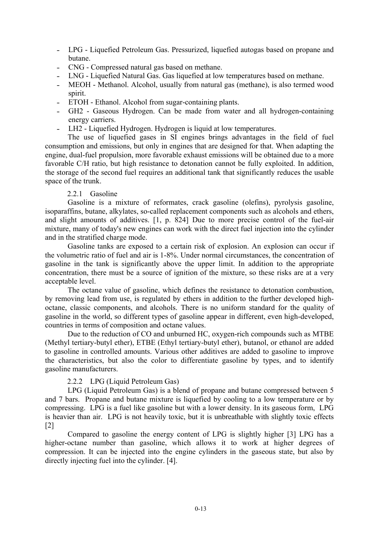- LPG Liquefied Petroleum Gas. Pressurized, liquefied autogas based on propane and butane.
- ˗ CNG Compressed natural gas based on methane.
- LNG Liquefied Natural Gas. Gas liquefied at low temperatures based on methane.
- ˗ MEOH Methanol. Alcohol, usually from natural gas (methane), is also termed wood spirit.
- ETOH Ethanol. Alcohol from sugar-containing plants.
- GH2 Gaseous Hydrogen. Can be made from water and all hydrogen-containing energy carriers.
- LH2 Liquefied Hydrogen. Hydrogen is liquid at low temperatures.

The use of liquefied gases in SI engines brings advantages in the field of fuel consumption and emissions, but only in engines that are designed for that. When adapting the engine, dual-fuel propulsion, more favorable exhaust emissions will be obtained due to a more favorable C/H ratio, but high resistance to detonation cannot be fully exploited. In addition, the storage of the second fuel requires an additional tank that significantly reduces the usable space of the trunk.

#### 2.2.1 Gasoline

Gasoline is a mixture of reformates, crack gasoline (olefins), pyrolysis gasoline, isoparaffins, butane, alkylates, so-called replacement components such as alcohols and ethers, and slight amounts of additives. [1, p. 824] Due to more precise control of the fuel-air mixture, many of today's new engines can work with the direct fuel injection into the cylinder and in the stratified charge mode.

Gasoline tanks are exposed to a certain risk of explosion. An explosion can occur if the volumetric ratio of fuel and air is 1-8%. Under normal circumstances, the concentration of gasoline in the tank is significantly above the upper limit. In addition to the appropriate concentration, there must be a source of ignition of the mixture, so these risks are at a very acceptable level.

The octane value of gasoline, which defines the resistance to detonation combustion, by removing lead from use, is regulated by ethers in addition to the further developed highoctane, classic components, and alcohols. There is no uniform standard for the quality of gasoline in the world, so different types of gasoline appear in different, even high-developed, countries in terms of composition and octane values.

Due to the reduction of CO and unburned HC, oxygen-rich compounds such as MTBE (Methyl tertiary-butyl ether), ETBE (Ethyl tertiary-butyl ether), butanol, or ethanol are added to gasoline in controlled amounts. Various other additives are added to gasoline to improve the characteristics, but also the color to differentiate gasoline by types, and to identify gasoline manufacturers.

#### 2.2.2 LPG (Liquid Petroleum Gas)

LPG (Liquid Petroleum Gas) is a blend of propane and butane compressed between 5 and 7 bars. Propane and butane mixture is liquefied by cooling to a low temperature or by compressing. LPG is a fuel like gasoline but with a lower density. In its gaseous form, LPG is heavier than air. LPG is not heavily toxic, but it is unbreathable with slightly toxic effects [2]

Compared to gasoline the energy content of LPG is slightly higher [3] LPG has a higher-octane number than gasoline, which allows it to work at higher degrees of compression. It can be injected into the engine cylinders in the gaseous state, but also by directly injecting fuel into the cylinder. [4].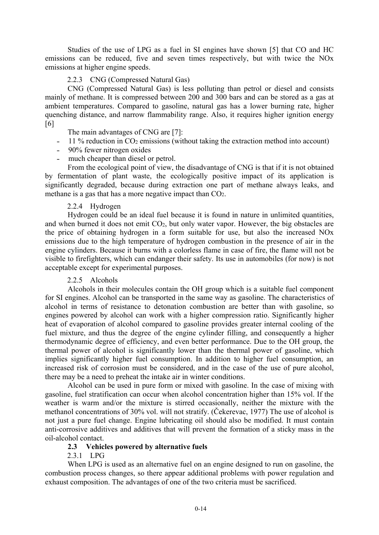Studies of the use of LPG as a fuel in SI engines have shown [5] that CO and HC emissions can be reduced, five and seven times respectively, but with twice the NOx emissions at higher engine speeds.

## 2.2.3 CNG (Compressed Natural Gas)

CNG (Compressed Natural Gas) is less polluting than petrol or diesel and consists mainly of methane. It is compressed between 200 and 300 bars and can be stored as a gas at ambient temperatures. Compared to gasoline, natural gas has a lower burning rate, higher quenching distance, and narrow flammability range. Also, it requires higher ignition energy [6]

The main advantages of CNG are [7]:

- 11 % reduction in CO<sub>2</sub> emissions (without taking the extraction method into account)
- 90% fewer nitrogen oxides
- much cheaper than diesel or petrol.

From the ecological point of view, the disadvantage of CNG is that if it is not obtained by fermentation of plant waste, the ecologically positive impact of its application is significantly degraded, because during extraction one part of methane always leaks, and methane is a gas that has a more negative impact than CO2.

### 2.2.4 Hydrogen

Hydrogen could be an ideal fuel because it is found in nature in unlimited quantities, and when burned it does not emit CO2, but only water vapor. However, the big obstacles are the price of obtaining hydrogen in a form suitable for use, but also the increased NOx emissions due to the high temperature of hydrogen combustion in the presence of air in the engine cylinders. Because it burns with a colorless flame in case of fire, the flame will not be visible to firefighters, which can endanger their safety. Its use in automobiles (for now) is not acceptable except for experimental purposes.

#### 2.2.5 Alcohols

Alcohols in their molecules contain the OH group which is a suitable fuel component for SI engines. Alcohol can be transported in the same way as gasoline. The characteristics of alcohol in terms of resistance to detonation combustion are better than with gasoline, so engines powered by alcohol can work with a higher compression ratio. Significantly higher heat of evaporation of alcohol compared to gasoline provides greater internal cooling of the fuel mixture, and thus the degree of the engine cylinder filling, and consequently a higher thermodynamic degree of efficiency, and even better performance. Due to the OH group, the thermal power of alcohol is significantly lower than the thermal power of gasoline, which implies significantly higher fuel consumption. In addition to higher fuel consumption, an increased risk of corrosion must be considered, and in the case of the use of pure alcohol, there may be a need to preheat the intake air in winter conditions.

Alcohol can be used in pure form or mixed with gasoline. In the case of mixing with gasoline, fuel stratification can occur when alcohol concentration higher than 15% vol. If the weather is warm and/or the mixture is stirred occasionally, neither the mixture with the methanol concentrations of 30% vol. will not stratify. (Čekerevac, 1977) The use of alcohol is not just a pure fuel change. Engine lubricating oil should also be modified. It must contain anti-corrosive additives and additives that will prevent the formation of a sticky mass in the oil-alcohol contact.

#### **2.3 Vehicles powered by alternative fuels**

#### 2.3.1 LPG

When LPG is used as an alternative fuel on an engine designed to run on gasoline, the combustion process changes, so there appear additional problems with power regulation and exhaust composition. The advantages of one of the two criteria must be sacrificed.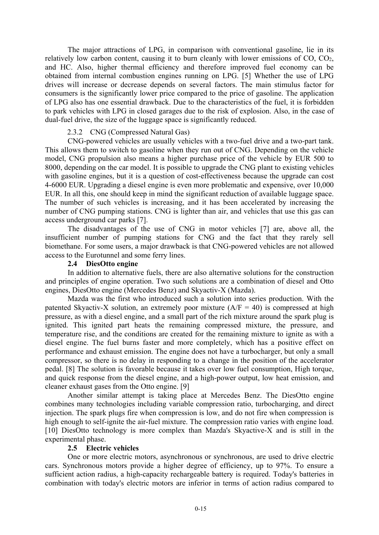The major attractions of LPG, in comparison with conventional gasoline, lie in its relatively low carbon content, causing it to burn cleanly with lower emissions of CO, CO2, and HC. Also, higher thermal efficiency and therefore improved fuel economy can be obtained from internal combustion engines running on LPG. [5] Whether the use of LPG drives will increase or decrease depends on several factors. The main stimulus factor for consumers is the significantly lower price compared to the price of gasoline. The application of LPG also has one essential drawback. Due to the characteristics of the fuel, it is forbidden to park vehicles with LPG in closed garages due to the risk of explosion. Also, in the case of dual-fuel drive, the size of the luggage space is significantly reduced.

#### 2.3.2 CNG (Compressed Natural Gas)

CNG-powered vehicles are usually vehicles with a two-fuel drive and a two-part tank. This allows them to switch to gasoline when they run out of CNG. Depending on the vehicle model, CNG propulsion also means a higher purchase price of the vehicle by EUR 500 to 8000, depending on the car model. It is possible to upgrade the CNG plant to existing vehicles with gasoline engines, but it is a question of cost-effectiveness because the upgrade can cost 4-6000 EUR. Upgrading a diesel engine is even more problematic and expensive, over 10,000 EUR. In all this, one should keep in mind the significant reduction of available luggage space. The number of such vehicles is increasing, and it has been accelerated by increasing the number of CNG pumping stations. CNG is lighter than air, and vehicles that use this gas can access underground car parks [7].

The disadvantages of the use of CNG in motor vehicles [7] are, above all, the insufficient number of pumping stations for CNG and the fact that they rarely sell biomethane. For some users, a major drawback is that CNG-powered vehicles are not allowed access to the Eurotunnel and some ferry lines.

#### **2.4 DiesOtto engine**

In addition to alternative fuels, there are also alternative solutions for the construction and principles of engine operation. Two such solutions are a combination of diesel and Otto engines, DiesOtto engine (Mercedes Benz) and Skyactiv-X (Mazda).

Mazda was the first who introduced such a solution into series production. With the patented Skyactiv-X solution, an extremely poor mixture  $(A/F = 40)$  is compressed at high pressure, as with a diesel engine, and a small part of the rich mixture around the spark plug is ignited. This ignited part heats the remaining compressed mixture, the pressure, and temperature rise, and the conditions are created for the remaining mixture to ignite as with a diesel engine. The fuel burns faster and more completely, which has a positive effect on performance and exhaust emission. The engine does not have a turbocharger, but only a small compressor, so there is no delay in responding to a change in the position of the accelerator pedal. [8] The solution is favorable because it takes over low fuel consumption, High torque, and quick response from the diesel engine, and a high-power output, low heat emission, and cleaner exhaust gases from the Otto engine. [9]

Another similar attempt is taking place at Mercedes Benz. The DiesOtto engine combines many technologies including variable compression ratio, turbocharging, and direct injection. The spark plugs fire when compression is low, and do not fire when compression is high enough to self-ignite the air-fuel mixture. The compression ratio varies with engine load. [10] DiesOtto technology is more complex than Mazda's Skyactive-X and is still in the experimental phase.

#### **2.5 Electric vehicles**

One or more electric motors, asynchronous or synchronous, are used to drive electric cars. Synchronous motors provide a higher degree of efficiency, up to 97%. To ensure a sufficient action radius, a high-capacity rechargeable battery is required. Today's batteries in combination with today's electric motors are inferior in terms of action radius compared to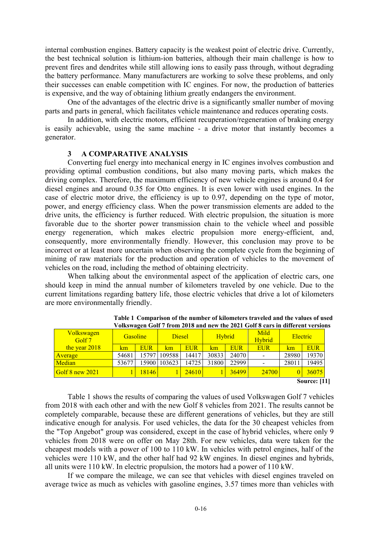internal combustion engines. Battery capacity is the weakest point of electric drive. Currently, the best technical solution is lithium-ion batteries, although their main challenge is how to prevent fires and dendrites while still allowing ions to easily pass through, without degrading the battery performance. Many manufacturers are working to solve these problems, and only their successes can enable competition with IC engines. For now, the production of batteries is expensive, and the way of obtaining lithium greatly endangers the environment.

One of the advantages of the electric drive is a significantly smaller number of moving parts and parts in general, which facilitates vehicle maintenance and reduces operating costs.

In addition, with electric motors, efficient recuperation/regeneration of braking energy is easily achievable, using the same machine - a drive motor that instantly becomes a generator.

#### **3 A COMPARATIVE ANALYSIS**

Converting fuel energy into mechanical energy in IC engines involves combustion and providing optimal combustion conditions, but also many moving parts, which makes the driving complex. Therefore, the maximum efficiency of new vehicle engines is around 0.4 for diesel engines and around 0.35 for Otto engines. It is even lower with used engines. In the case of electric motor drive, the efficiency is up to 0.97, depending on the type of motor, power, and energy efficiency class. When the power transmission elements are added to the drive units, the efficiency is further reduced. With electric propulsion, the situation is more favorable due to the shorter power transmission chain to the vehicle wheel and possible energy regeneration, which makes electric propulsion more energy-efficient, and, consequently, more environmentally friendly. However, this conclusion may prove to be incorrect or at least more uncertain when observing the complete cycle from the beginning of mining of raw materials for the production and operation of vehicles to the movement of vehicles on the road, including the method of obtaining electricity.

When talking about the environmental aspect of the application of electric cars, one should keep in mind the annual number of kilometers traveled by one vehicle. Due to the current limitations regarding battery life, those electric vehicles that drive a lot of kilometers are more environmentally friendly.

| <b>Volkswagen</b><br>Golf 7               | <b>Gasoline</b> |            | <b>Diesel</b> |            | <b>Hybrid</b> |            | Mild<br><b>Hybrid</b> | Electric |            |  |  |  |
|-------------------------------------------|-----------------|------------|---------------|------------|---------------|------------|-----------------------|----------|------------|--|--|--|
| the year 2018                             | km              | <b>EUR</b> | km            | <b>EUR</b> | km            | <b>EUR</b> | <b>EUR</b>            | km       | <b>EUR</b> |  |  |  |
| <b>Average</b>                            | 54681           | 15797      | 109588        | 14417      | 30833         | 24070      | $\qquad \qquad$       | 28980    | 19370      |  |  |  |
| Median                                    | 53677           | 15900      | 103623        | 14725      | 31800         | 22999      | -                     | 28011    | 19495      |  |  |  |
| $\sqrt{\text{Golf } 8 \text{ new } 2021}$ |                 | 18146      |               | 24610      |               | 36499      | <b>24700</b>          | $\Omega$ | 36075      |  |  |  |
| <b>Source:</b> [11]                       |                 |            |               |            |               |            |                       |          |            |  |  |  |

**Table 1 Comparison of the number of kilometers traveled and the values of used Volkswagen Golf 7 from 2018 and new the 2021 Golf 8 cars in different versions** 

Table 1 shows the results of comparing the values of used Volkswagen Golf 7 vehicles from 2018 with each other and with the new Golf 8 vehicles from 2021. The results cannot be completely comparable, because these are different generations of vehicles, but they are still indicative enough for analysis. For used vehicles, the data for the 30 cheapest vehicles from the "Top Angebot" group was considered, except in the case of hybrid vehicles, where only 9 vehicles from 2018 were on offer on May 28th. For new vehicles, data were taken for the cheapest models with a power of 100 to 110 kW. In vehicles with petrol engines, half of the vehicles were 110 kW, and the other half had 92 kW engines. In diesel engines and hybrids, all units were 110 kW. In electric propulsion, the motors had a power of 110 kW.

If we compare the mileage, we can see that vehicles with diesel engines traveled on average twice as much as vehicles with gasoline engines, 3.57 times more than vehicles with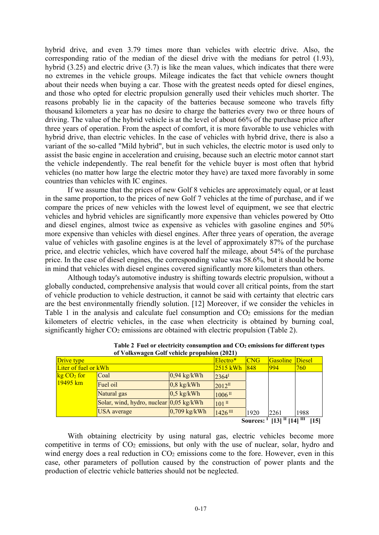hybrid drive, and even 3.79 times more than vehicles with electric drive. Also, the corresponding ratio of the median of the diesel drive with the medians for petrol (1.93), hybrid (3.25) and electric drive (3.7) is like the mean values, which indicates that there were no extremes in the vehicle groups. Mileage indicates the fact that vehicle owners thought about their needs when buying a car. Those with the greatest needs opted for diesel engines, and those who opted for electric propulsion generally used their vehicles much shorter. The reasons probably lie in the capacity of the batteries because someone who travels fifty thousand kilometers a year has no desire to charge the batteries every two or three hours of driving. The value of the hybrid vehicle is at the level of about 66% of the purchase price after three years of operation. From the aspect of comfort, it is more favorable to use vehicles with hybrid drive, than electric vehicles. In the case of vehicles with hybrid drive, there is also a variant of the so-called "Mild hybrid", but in such vehicles, the electric motor is used only to assist the basic engine in acceleration and cruising, because such an electric motor cannot start the vehicle independently. The real benefit for the vehicle buyer is most often that hybrid vehicles (no matter how large the electric motor they have) are taxed more favorably in some countries than vehicles with IC engines.

If we assume that the prices of new Golf 8 vehicles are approximately equal, or at least in the same proportion, to the prices of new Golf 7 vehicles at the time of purchase, and if we compare the prices of new vehicles with the lowest level of equipment, we see that electric vehicles and hybrid vehicles are significantly more expensive than vehicles powered by Otto and diesel engines, almost twice as expensive as vehicles with gasoline engines and 50% more expensive than vehicles with diesel engines. After three years of operation, the average value of vehicles with gasoline engines is at the level of approximately 87% of the purchase price, and electric vehicles, which have covered half the mileage, about 54% of the purchase price. In the case of diesel engines, the corresponding value was 58.6%, but it should be borne in mind that vehicles with diesel engines covered significantly more kilometers than others.

Although today's automotive industry is shifting towards electric propulsion, without a globally conducted, comprehensive analysis that would cover all critical points, from the start of vehicle production to vehicle destruction, it cannot be said with certainty that electric cars are the best environmentally friendly solution. [12] Moreover, if we consider the vehicles in Table 1 in the analysis and calculate fuel consumption and CO<sub>2</sub> emissions for the median kilometers of electric vehicles, in the case when electricity is obtained by burning coal, significantly higher  $CO<sub>2</sub>$  emissions are obtained with electric propulsion (Table 2).

|                                                                | -                                                 |                |                      |          |               |      |  |  |  |  |
|----------------------------------------------------------------|---------------------------------------------------|----------------|----------------------|----------|---------------|------|--|--|--|--|
| Drive type                                                     |                                                   | Electro*       | <b>CNG</b>           | Gasoline | <b>Diesel</b> |      |  |  |  |  |
| Liter of fuel or kWh                                           |                                                   | $2515$ kWh     | 848                  | 994      | 760           |      |  |  |  |  |
| $kg CO2$ for                                                   | Coal                                              | $0,94$ kg/kWh  | $2364^{\mathrm{T}}$  |          |               |      |  |  |  |  |
| $19495 \,\mathrm{km}$                                          | Fuel oil                                          | $0,8$ kg/kWh   | $2012^{\text{II}}$   |          |               |      |  |  |  |  |
|                                                                | Natural gas                                       | $0,5$ kg/kWh   | $1006$ <sup>II</sup> |          |               |      |  |  |  |  |
|                                                                | Solar, wind, hydro, nuclear $0.05 \text{ kg/kWh}$ |                | $101$ II             |          |               |      |  |  |  |  |
|                                                                | <b>USA</b> average                                | $0,709$ kg/kWh | $1426$ III           | 1920     | 2261          | 1988 |  |  |  |  |
| $[13]$ <sup>II</sup> $[14]$ <sup>III</sup><br>[15]<br>Sources: |                                                   |                |                      |          |               |      |  |  |  |  |

Table 2 Fuel or electricity consumption and CO<sub>2</sub> emissions for different types  **of Volkswagen Golf vehicle propulsion (2021)** 

With obtaining electricity by using natural gas, electric vehicles become more competitive in terms of CO<sub>2</sub> emissions, but only with the use of nuclear, solar, hydro and wind energy does a real reduction in  $CO<sub>2</sub>$  emissions come to the fore. However, even in this case, other parameters of pollution caused by the construction of power plants and the production of electric vehicle batteries should not be neglected.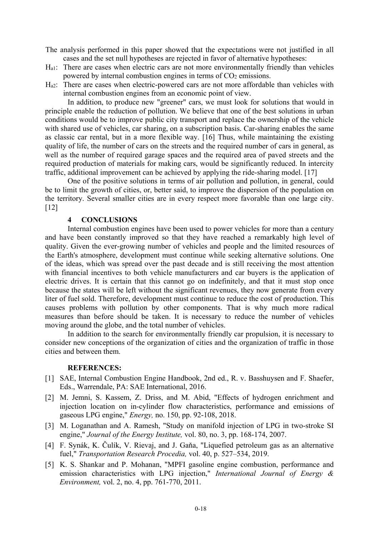The analysis performed in this paper showed that the expectations were not justified in all cases and the set null hypotheses are rejected in favor of alternative hypotheses:

- Ha1: There are cases when electric cars are not more environmentally friendly than vehicles powered by internal combustion engines in terms of CO<sub>2</sub> emissions.
- Ha2: There are cases when electric-powered cars are not more affordable than vehicles with internal combustion engines from an economic point of view.

In addition, to produce new "greener" cars, we must look for solutions that would in principle enable the reduction of pollution. We believe that one of the best solutions in urban conditions would be to improve public city transport and replace the ownership of the vehicle with shared use of vehicles, car sharing, on a subscription basis. Car-sharing enables the same as classic car rental, but in a more flexible way. [16] Thus, while maintaining the existing quality of life, the number of cars on the streets and the required number of cars in general, as well as the number of required garage spaces and the required area of paved streets and the required production of materials for making cars, would be significantly reduced. In intercity traffic, additional improvement can be achieved by applying the ride-sharing model. [17]

One of the positive solutions in terms of air pollution and pollution, in general, could be to limit the growth of cities, or, better said, to improve the dispersion of the population on the territory. Several smaller cities are in every respect more favorable than one large city. [12]

#### **4 CONCLUSIONS**

Internal combustion engines have been used to power vehicles for more than a century and have been constantly improved so that they have reached a remarkably high level of quality. Given the ever-growing number of vehicles and people and the limited resources of the Earth's atmosphere, development must continue while seeking alternative solutions. One of the ideas, which was spread over the past decade and is still receiving the most attention with financial incentives to both vehicle manufacturers and car buyers is the application of electric drives. It is certain that this cannot go on indefinitely, and that it must stop once because the states will be left without the significant revenues, they now generate from every liter of fuel sold. Therefore, development must continue to reduce the cost of production. This causes problems with pollution by other components. That is why much more radical measures than before should be taken. It is necessary to reduce the number of vehicles moving around the globe, and the total number of vehicles.

In addition to the search for environmentally friendly car propulsion, it is necessary to consider new conceptions of the organization of cities and the organization of traffic in those cities and between them.

#### **REFERENCES:**

- [1] SAE, Internal Combustion Engine Handbook, 2nd ed., R. v. Basshuysen and F. Shaefer, Eds., Warrendale, PA: SAE International, 2016.
- [2] M. Jemni, S. Kassem, Z. Driss, and M. Abid, "Effects of hydrogen enrichment and injection location on in-cylinder flow characteristics, performance and emissions of gaseous LPG engine," *Energy,* no. 150, pp. 92-108, 2018.
- [3] M. Loganathan and A. Ramesh, "Study on manifold injection of LPG in two-stroke SI engine," *Journal of the Energy Institute,* vol. 80, no. 3, pp. 168-174, 2007.
- [4] F. Synák, K. Čulík, V. Rievaj, and J. Gaňa, "Liquefied petroleum gas as an alternative fuel," *Transportation Research Procedia,* vol. 40, p. 527–534, 2019.
- [5] K. S. Shankar and P. Mohanan, "MPFI gasoline engine combustion, performance and emission characteristics with LPG injection," *International Journal of Energy & Environment,* vol. 2, no. 4, pp. 761-770, 2011.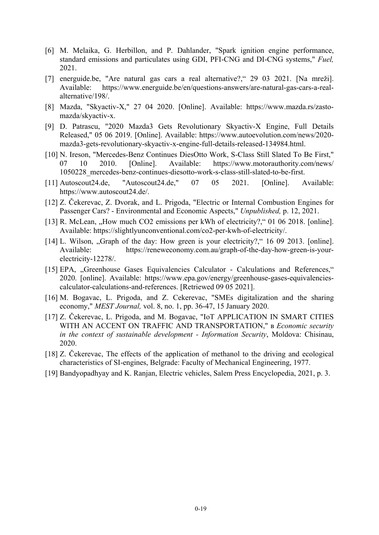- [6] M. Melaika, G. Herbillon, and P. Dahlander, "Spark ignition engine performance, standard emissions and particulates using GDI, PFI-CNG and DI-CNG systems," *Fuel,*  2021.
- [7] energuide.be, "Are natural gas cars a real alternative?," 29 03 2021. [Na mreži]. Available: https://www.energuide.be/en/questions-answers/are-natural-gas-cars-a-realalternative/198/.
- [8] Mazda, "Skyactiv-X," 27 04 2020. [Online]. Available: https://www.mazda.rs/zastomazda/skyactiv-x.
- [9] D. Patrascu, "2020 Mazda3 Gets Revolutionary Skyactiv-X Engine, Full Details Released," 05 06 2019. [Online]. Available: https://www.autoevolution.com/news/2020 mazda3-gets-revolutionary-skyactiv-x-engine-full-details-released-134984.html.
- [10] N. Ireson, "Mercedes-Benz Continues DiesOtto Work, S-Class Still Slated To Be First," 07 10 2010. [Online]. Available: https://www.motorauthority.com/news/ 1050228\_mercedes-benz-continues-diesotto-work-s-class-still-slated-to-be-first.
- [11] Autoscout24.de, "Autoscout24.de," 07 05 2021. [Online]. Available: https://www.autoscout24.de/.
- [12] Z. Čekerevac, Z. Dvorak, and L. Prigoda, "Electric or Internal Combustion Engines for Passenger Cars? - Environmental and Economic Aspects," *Unpublished,* p. 12, 2021.
- [13] R. McLean, "How much CO2 emissions per kWh of electricity?," 01 06 2018. [online]. Available: https://slightlyunconventional.com/co2-per-kwh-of-electricity/.
- [14] L. Wilson, "Graph of the day: How green is your electricity?," 16 09 2013. [online]. Available: https://reneweconomy.com.au/graph-of-the-day-how-green-is-yourelectricity-12278/.
- [15] EPA, "Greenhouse Gases Equivalencies Calculator Calculations and References," 2020. [online]. Available: https://www.epa.gov/energy/greenhouse-gases-equivalenciescalculator-calculations-and-references. [Retriewed 09 05 2021].
- [16] M. Bogavac, L. Prigoda, and Z. Cekerevac, "SMEs digitalization and the sharing economy," *MEST Journal,* vol. 8, no. 1, pp. 36-47, 15 January 2020.
- [17] Z. Čekerevac, L. Prigoda, and M. Bogavac, "IoT APPLICATION IN SMART CITIES WITH AN ACCENT ON TRAFFIC AND TRANSPORTATION," в *Economic security in the context of sustainable development - Information Security*, Moldova: Chisinau, 2020.
- [18] Z. Čekerevac, The effects of the application of methanol to the driving and ecological characteristics of SI-engines, Belgrade: Faculty of Mechanical Engineering, 1977.
- [19] Bandyopadhyay and K. Ranjan, Electric vehicles, Salem Press Encyclopedia, 2021, p. 3.